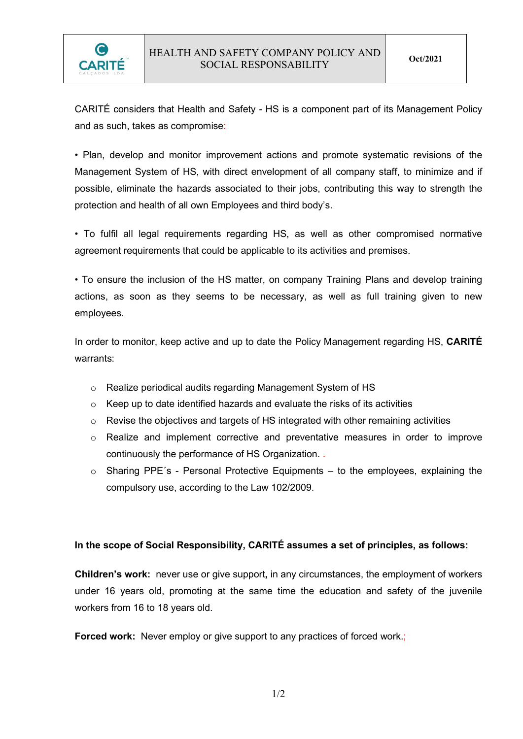

CARITÉ considers that Health and Safety - HS is a component part of its Management Policy and as such, takes as compromise:

• Plan, develop and monitor improvement actions and promote systematic revisions of the Management System of HS, with direct envelopment of all company staff, to minimize and if possible, eliminate the hazards associated to their jobs, contributing this way to strength the protection and health of all own Employees and third body's.

• To fulfil all legal requirements regarding HS, as well as other compromised normative agreement requirements that could be applicable to its activities and premises.

• To ensure the inclusion of the HS matter, on company Training Plans and develop training actions, as soon as they seems to be necessary, as well as full training given to new employees.

In order to monitor, keep active and up to date the Policy Management regarding HS, CARITÉ warrants:

- o Realize periodical audits regarding Management System of HS
- o Keep up to date identified hazards and evaluate the risks of its activities
- o Revise the objectives and targets of HS integrated with other remaining activities
- o Realize and implement corrective and preventative measures in order to improve continuously the performance of HS Organization. .
- o Sharing PPE´s Personal Protective Equipments to the employees, explaining the compulsory use, according to the Law 102/2009.

## In the scope of Social Responsibility, CARITÉ assumes a set of principles, as follows:

Children's work: never use or give support, in any circumstances, the employment of workers under 16 years old, promoting at the same time the education and safety of the juvenile workers from 16 to 18 years old.

Forced work: Never employ or give support to any practices of forced work.;